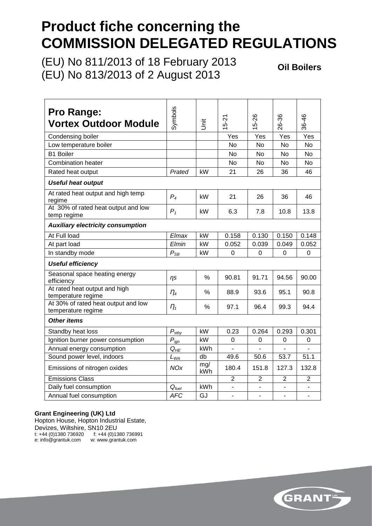# **Product fiche concerning the COMMISSION DELEGATED REGULATIONS**

(EU) No 811/2013 of 18 February 2013 (EU) No 813/2013 of 2 August 2013

**Oil Boilers**

| <b>Pro Range:</b><br><b>Vortex Outdoor Module</b>         | Symbols             | jnit          | 5-21                     | 5-26                     | 26-36          | 36-46                    |  |  |
|-----------------------------------------------------------|---------------------|---------------|--------------------------|--------------------------|----------------|--------------------------|--|--|
| Condensing boiler                                         |                     |               | Yes                      | Yes                      | Yes            | Yes                      |  |  |
| Low temperature boiler                                    |                     |               | No                       | No                       | No             | No                       |  |  |
| <b>B1 Boiler</b>                                          |                     |               | <b>No</b>                | <b>No</b>                | <b>No</b>      | <b>No</b>                |  |  |
| <b>Combination heater</b>                                 |                     |               | No.                      | No                       | <b>No</b>      | <b>No</b>                |  |  |
| Rated heat output                                         | Prated              | kW            | 21                       | 26                       | 36             | 46                       |  |  |
| <b>Useful heat output</b>                                 |                     |               |                          |                          |                |                          |  |  |
| At rated heat output and high temp<br>regime              | $P_4$               | kW            | 21                       | 26                       | 36             | 46                       |  |  |
| At 30% of rated heat output and low<br>temp regime        | $P_1$               | kW            | 6.3                      | 7.8                      | 10.8           | 13.8                     |  |  |
| <b>Auxiliary electricity consumption</b>                  |                     |               |                          |                          |                |                          |  |  |
| At Full load                                              | Elmax               | kW            | 0.158                    | 0.130                    | 0.150          | 0.148                    |  |  |
| At part load                                              | Elmin               | kW            | 0.052                    | 0.039                    | 0.049          | 0.052                    |  |  |
| In standby mode                                           | $P_{SB}$            | kW            | 0                        | 0                        | 0              | 0                        |  |  |
| <b>Useful efficiency</b>                                  |                     |               |                          |                          |                |                          |  |  |
| Seasonal space heating energy<br>efficiency               | ns                  | $\frac{0}{0}$ | 90.81                    | 91.71                    | 94.56          | 90.00                    |  |  |
| At rated heat output and high<br>temperature regime       | $\eta_4$            | $\frac{0}{0}$ | 88.9                     | 93.6                     | 95.1           | 90.8                     |  |  |
| At 30% of rated heat output and low<br>temperature regime | $\eta_{1}$          | $\frac{0}{0}$ | 97.1                     | 96.4                     | 99.3           | 94.4                     |  |  |
| <b>Other items</b>                                        |                     |               |                          |                          |                |                          |  |  |
| Standby heat loss                                         | $P_{\textit{stby}}$ | kW            | 0.23                     | 0.264                    | 0.293          | 0.301                    |  |  |
| Ignition burner power consumption                         | $P_{ign}$           | kW            | 0                        | 0                        | 0              | 0                        |  |  |
| Annual energy consumption                                 | $Q_{HE}$            | <b>kWh</b>    |                          |                          |                |                          |  |  |
| Sound power level, indoors                                | $L_{WA}$            | db            | 49.6                     | 50.6                     | 53.7           | 51.1                     |  |  |
| Emissions of nitrogen oxides                              | <b>NOx</b>          | mg/<br>kWh    | 180.4                    | 151.8                    | 127.3          | 132.8                    |  |  |
| <b>Emissions Class</b>                                    |                     |               | $\overline{2}$           | $\overline{2}$           | $\overline{2}$ | $\overline{2}$           |  |  |
| Daily fuel consumption                                    | $Q_{fuel}$          | kWh           | $\overline{\phantom{a}}$ | $\overline{\phantom{a}}$ |                | $\overline{\phantom{a}}$ |  |  |
| Annual fuel consumption                                   | <b>AFC</b>          | GJ            | $\blacksquare$           |                          |                |                          |  |  |

#### **Grant Engineering (UK) Ltd**

Hopton House, Hopton Industrial Estate, Devizes, Wiltshire, SN10 2EU t: +44 (0)1380 736920 f: +44 (0)1380 736991 e: info@grantuk.com w: [www.grantuk.com](http://www.grantuk.com/)

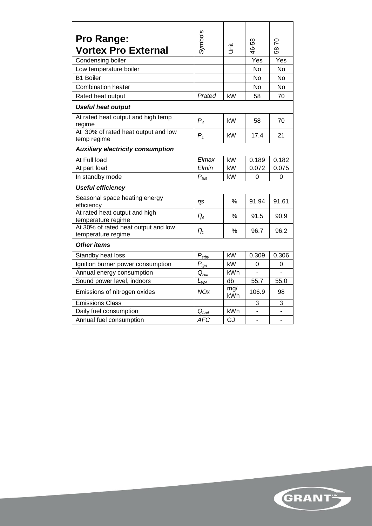| <b>Pro Range:</b>                                         | Symbols           |            |           |           |
|-----------------------------------------------------------|-------------------|------------|-----------|-----------|
| <b>Vortex Pro External</b>                                |                   | Ĕ          | 46-58     | 58-70     |
| Condensing boiler                                         |                   |            | Yes       | Yes       |
| Low temperature boiler                                    |                   |            | No        | No        |
| <b>B1 Boiler</b>                                          |                   |            | <b>No</b> | <b>No</b> |
| <b>Combination heater</b>                                 |                   |            | No        | No        |
| Rated heat output                                         | Prated            | kW         | 58        | 70        |
| <b>Useful heat output</b>                                 |                   |            |           |           |
| At rated heat output and high temp<br>regime              | $P_4$             | kW         | 58        | 70        |
| At 30% of rated heat output and low<br>temp regime        | $P_1$             | kW         | 17.4      | 21        |
| <b>Auxiliary electricity consumption</b>                  |                   |            |           |           |
| At Full load                                              | Elmax             | kW         | 0.189     | 0.182     |
| At part load                                              | Elmin             | kW         | 0.072     | 0.075     |
| In standby mode                                           | $P_{SB}$          | kW         | 0         | 0         |
| <b>Useful efficiency</b>                                  |                   |            |           |           |
| Seasonal space heating energy<br>efficiency               | n <sub>s</sub>    | $\%$       | 91.94     | 91.61     |
| At rated heat output and high<br>temperature regime       | $\eta_{4}$        | $\%$       | 91.5      | 90.9      |
| At 30% of rated heat output and low<br>temperature regime | $n_{1}$           | ℅          | 96.7      | 96.2      |
| <b>Other items</b>                                        |                   |            |           |           |
| Standby heat loss                                         | $P_{\text{stby}}$ | kW         | 0.309     | 0.306     |
| Ignition burner power consumption                         | $P_{ign}$         | kW         | 0         | 0         |
| Annual energy consumption                                 | $Q_{HE}$          | kWh        |           |           |
| Sound power level, indoors                                | $L_{WA}$          | db         | 55.7      | 55.0      |
| Emissions of nitrogen oxides                              | <b>NOx</b>        | mg/<br>kWh | 106.9     | 98        |
| <b>Emissions Class</b>                                    |                   |            | 3         | 3         |
| Daily fuel consumption                                    | $Q_{fuel}$        | kWh        |           |           |
| Annual fuel consumption                                   | <b>AFC</b>        | GJ         |           |           |

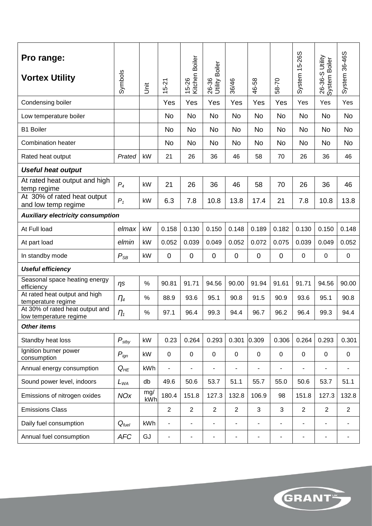| Pro range:<br><b>Vortex Utility</b>                       | Symbols           | jst        | $15 - 21$                | Kitchen Boiler<br>15-26  | <b>Boiler</b><br>26-36<br>Utility | 36/46                    | 46-58          | 58-70                    | System 15-26S  | 26-36-S Utility<br>System Boiler | System 36-46S            |
|-----------------------------------------------------------|-------------------|------------|--------------------------|--------------------------|-----------------------------------|--------------------------|----------------|--------------------------|----------------|----------------------------------|--------------------------|
| Condensing boiler                                         |                   |            | Yes                      | Yes                      | Yes                               | Yes                      | Yes            | Yes                      | Yes            | Yes                              | Yes                      |
| Low temperature boiler                                    |                   |            | <b>No</b>                | <b>No</b>                | <b>No</b>                         | <b>No</b>                | <b>No</b>      | <b>No</b>                | <b>No</b>      | <b>No</b>                        | <b>No</b>                |
| <b>B1 Boiler</b>                                          |                   |            | <b>No</b>                | <b>No</b>                | <b>No</b>                         | No                       | No             | <b>No</b>                | <b>No</b>      | <b>No</b>                        | <b>No</b>                |
| <b>Combination heater</b>                                 |                   |            | No                       | <b>No</b>                | <b>No</b>                         | No                       | No             | <b>No</b>                | No             | <b>No</b>                        | No                       |
| Rated heat output                                         | Prated            | kW         | 21                       | 26                       | 36                                | 46                       | 58             | 70                       | 26             | 36                               | 46                       |
| <b>Useful heat output</b>                                 |                   |            |                          |                          |                                   |                          |                |                          |                |                                  |                          |
| At rated heat output and high<br>temp regime              | $P_4$             | kW         | 21                       | 26                       | 36                                | 46                       | 58             | 70                       | 26             | 36                               | 46                       |
| At 30% of rated heat output<br>and low temp regime        | $P_1$             | kW         | 6.3                      | 7.8                      | 10.8                              | 13.8                     | 17.4           | 21                       | 7.8            | 10.8                             | 13.8                     |
| <b>Auxiliary electricity consumption</b>                  |                   |            |                          |                          |                                   |                          |                |                          |                |                                  |                          |
| At Full load                                              | elmax             | kW         | 0.158                    | 0.130                    | 0.150                             | 0.148                    | 0.189          | 0.182                    | 0.130          | 0.150                            | 0.148                    |
| At part load                                              | elmin             | kW         | 0.052                    | 0.039                    | 0.049                             | 0.052                    | 0.072          | 0.075                    | 0.039          | 0.049                            | 0.052                    |
| In standby mode                                           | $P_{SB}$          | kW         | $\mathbf 0$              | $\mathbf 0$              | $\mathbf 0$                       | 0                        | $\mathbf 0$    | 0                        | 0              | 0                                | $\mathbf 0$              |
| <b>Useful efficiency</b>                                  |                   |            |                          |                          |                                   |                          |                |                          |                |                                  |                          |
| Seasonal space heating energy<br>efficiency               | n <sub>s</sub>    | $\%$       | 90.81                    | 91.71                    | 94.56                             | 90.00                    | 91.94          | 91.61                    | 91.71          | 94.56                            | 90.00                    |
| At rated heat output and high<br>temperature regime       | $\eta_{4}$        | %          | 88.9                     | 93.6                     | 95.1                              | 90.8                     | 91.5           | 90.9                     | 93.6           | 95.1                             | 90.8                     |
| At 30% of rated heat output and<br>low temperature regime | $\eta_{1}$        | %          | 97.1                     | 96.4                     | 99.3                              | 94.4                     | 96.7           | 96.2                     | 96.4           | 99.3                             | 94.4                     |
| <b>Other items</b>                                        |                   |            |                          |                          |                                   |                          |                |                          |                |                                  |                          |
| Standby heat loss                                         | $P_{\text{stby}}$ | kW         | 0.23                     | 0.264                    | 0.293                             | 0.301                    | 0.309          | 0.306                    | 0.264          | 0.293                            | 0.301                    |
| Ignition burner power<br>consumption                      | $P_{ign}$         | kW         | $\mathbf 0$              | $\mathbf 0$              | $\mathbf 0$                       | 0                        | $\mathbf 0$    | $\mathbf 0$              | $\mathbf 0$    | $\mathbf 0$                      | 0                        |
| Annual energy consumption                                 | $Q_{HE}$          | kWh        | $\overline{a}$           | $\overline{\phantom{a}}$ | ÷,                                |                          | $\overline{a}$ | ÷,                       | ۰              | ÷,                               | $\overline{\phantom{a}}$ |
| Sound power level, indoors                                | $L_{WA}$          | db         | 49.6                     | 50.6                     | 53.7                              | 51.1                     | 55.7           | 55.0                     | 50.6           | 53.7                             | 51.1                     |
| Emissions of nitrogen oxides                              | <b>NOx</b>        | mg/<br>kWh | 180.4                    | 151.8                    | 127.3                             | 132.8                    | 106.9          | 98                       | 151.8          | 127.3                            | 132.8                    |
| <b>Emissions Class</b>                                    |                   |            | $\overline{2}$           | $\overline{2}$           | $\overline{2}$                    | $\overline{2}$           | 3              | 3                        | $\overline{2}$ | $\overline{2}$                   | $\overline{2}$           |
| Daily fuel consumption                                    | $Q_{fuel}$        | kWh        | $\overline{\phantom{0}}$ | $\blacksquare$           | $\overline{\phantom{0}}$          | $\overline{\phantom{a}}$ | ٠              | $\overline{\phantom{0}}$ | $\blacksquare$ | $\overline{\phantom{0}}$         | $\blacksquare$           |
| Annual fuel consumption                                   | <b>AFC</b>        | GJ         | $\overline{\phantom{0}}$ | $\overline{a}$           | ۰                                 | $\overline{\phantom{a}}$ | ٠              | ٠                        | $\overline{a}$ | ۰                                | $\overline{\phantom{a}}$ |

GRANT"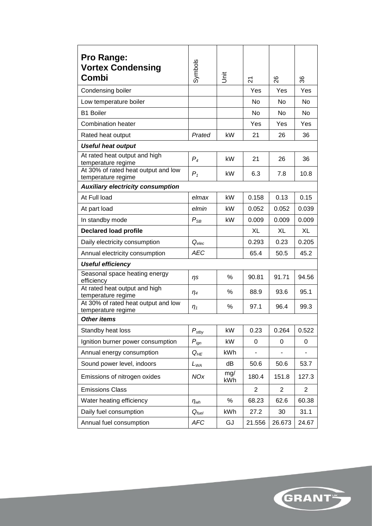| <b>Pro Range:</b><br><b>Vortex Condensing</b><br>Combi    | Symbols             | İ          | 24             | 88             | 36             |
|-----------------------------------------------------------|---------------------|------------|----------------|----------------|----------------|
| Condensing boiler                                         |                     |            | Yes            | Yes            | Yes            |
| Low temperature boiler                                    |                     |            | <b>No</b>      | <b>No</b>      | <b>No</b>      |
| <b>B1 Boiler</b>                                          |                     |            | <b>No</b>      | <b>No</b>      | N <sub>o</sub> |
| <b>Combination heater</b>                                 |                     |            | Yes            | Yes            | Yes            |
| Rated heat output                                         | Prated              | kW         | 21             | 26             | 36             |
| <b>Useful heat output</b>                                 |                     |            |                |                |                |
| At rated heat output and high<br>temperature regime       | $P_4$               | kW         | 21             | 26             | 36             |
| At 30% of rated heat output and low<br>temperature regime | $P_1$               | kW         | 6.3            | 7.8            | 10.8           |
| <b>Auxiliary electricity consumption</b>                  |                     |            |                |                |                |
| At Full load                                              | elmax               | kW         | 0.158          | 0.13           | 0.15           |
| At part load                                              | elmin               | kW         | 0.052          | 0.052          | 0.039          |
| In standby mode                                           | $P_{SB}$            | kW         | 0.009          | 0.009          | 0.009          |
| <b>Declared load profile</b>                              |                     |            | XL             | XL             | XL             |
| Daily electricity consumption                             | $Q_{elec}$          |            | 0.293          | 0.23           | 0.205          |
| Annual electricity consumption                            | AEC                 |            | 65.4           | 50.5           | 45.2           |
| <b>Useful efficiency</b>                                  |                     |            |                |                |                |
| Seasonal space heating energy<br>efficiency               | ηs                  | $\%$       | 90.81          | 91.71          | 94.56          |
| At rated heat output and high<br>temperature regime       | $\eta_4$            | $\%$       | 88.9           | 93.6           | 95.1           |
| At 30% of rated heat output and low<br>temperature regime | $\eta_1$            | %          | 97.1           | 96.4           | 99.3           |
| <b>Other items</b>                                        |                     |            |                |                |                |
| Standby heat loss                                         | $P_{\textit{stby}}$ | kW         | 0.23           | 0.264          | 0.522          |
| Ignition burner power consumption                         | $P_{ign}$           | kW         | 0              | 0              | 0              |
| Annual energy consumption                                 | $Q_{HE}$            | kWh        |                |                |                |
| Sound power level, indoors                                | $L_{WA}$            | dB         | 50.6           | 50.6           | 53.7           |
| Emissions of nitrogen oxides                              | <b>NOx</b>          | mg/<br>kWh | 180.4          | 151.8          | 127.3          |
| <b>Emissions Class</b>                                    |                     |            | $\overline{2}$ | $\overline{2}$ | $\overline{2}$ |
| Water heating efficiency                                  | $\eta_{wh}$         | $\%$       | 68.23          | 62.6           | 60.38          |
| Daily fuel consumption                                    | $Q_{\mathit{fuel}}$ | kWh        | 27.2           | 30             | 31.1           |
| Annual fuel consumption                                   | <b>AFC</b>          | GJ         | 21.556         | 26.673         | 24.67          |

GRANT"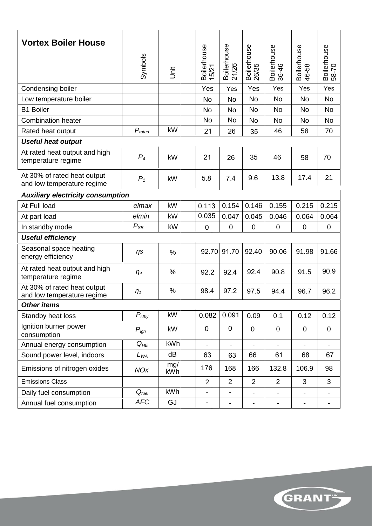| <b>Vortex Boiler House</b>                                | Symbols              | İ          | Boilerhouse<br>5/21          | Boilerhouse<br>21/26         | Boilerhouse<br>26/35         | Boilerhouse<br>36-46     | Boilerhouse<br>46-58     | Boilerhouse<br>58-70 |  |  |
|-----------------------------------------------------------|----------------------|------------|------------------------------|------------------------------|------------------------------|--------------------------|--------------------------|----------------------|--|--|
| Condensing boiler                                         |                      |            | Yes                          | Yes                          | Yes                          | Yes                      | Yes                      | Yes                  |  |  |
| Low temperature boiler                                    |                      |            | <b>No</b>                    | <b>No</b>                    | <b>No</b>                    | <b>No</b>                | <b>No</b>                | <b>No</b>            |  |  |
| <b>B1 Boiler</b>                                          |                      |            | <b>No</b>                    | <b>No</b>                    | <b>No</b>                    | <b>No</b>                | <b>No</b>                | No                   |  |  |
| <b>Combination heater</b>                                 |                      |            | <b>No</b>                    | <b>No</b>                    | No                           | <b>No</b>                | No                       | No                   |  |  |
| Rated heat output                                         | $P_{\mathit{rated}}$ | kW         | 21                           | 26                           | 35                           | 46                       | 58                       | 70                   |  |  |
| <b>Useful heat output</b>                                 |                      |            |                              |                              |                              |                          |                          |                      |  |  |
| At rated heat output and high<br>temperature regime       | $P_4$                | kW         | 21                           | 26                           | 35                           | 46                       | 58                       | 70                   |  |  |
| At 30% of rated heat output<br>and low temperature regime | $P_1$                | kW         | 5.8                          | 7.4                          | 9.6                          | 13.8                     | 17.4                     | 21                   |  |  |
| <b>Auxiliary electricity consumption</b>                  |                      |            |                              |                              |                              |                          |                          |                      |  |  |
| At Full load                                              | elmax                | kW         | 0.113                        | 0.154                        | 0.146                        | 0.155                    | 0.215                    | 0.215                |  |  |
| At part load                                              | elmin                | kW         | 0.035                        | 0.047                        | 0.045                        | 0.046                    | 0.064                    | 0.064                |  |  |
| In standby mode                                           | $P_{SB}$             | kW         | $\mathbf 0$                  | $\mathbf 0$                  | $\mathbf 0$                  | $\mathbf 0$              | $\mathbf 0$              | $\mathbf 0$          |  |  |
| <b>Useful efficiency</b>                                  |                      |            |                              |                              |                              |                          |                          |                      |  |  |
| Seasonal space heating<br>energy efficiency               | $\eta s$             | %          | 92.70                        | 91.70                        | 92.40                        | 90.06                    | 91.98                    | 91.66                |  |  |
| At rated heat output and high<br>temperature regime       | $\eta_4$             | %          | 92.2                         | 92.4                         | 92.4                         | 90.8                     | 91.5                     | 90.9                 |  |  |
| At 30% of rated heat output<br>and low temperature regime | $\eta_1$             | %          | 98.4                         | 97.2                         | 97.5                         | 94.4                     | 96.7                     | 96.2                 |  |  |
| <b>Other items</b>                                        |                      |            |                              |                              |                              |                          |                          |                      |  |  |
| Standby heat loss                                         | $P_{\textit{stby}}$  | kW         | 0.082                        | 0.091                        | 0.09                         | 0.1                      | 0.12                     | 0.12                 |  |  |
| Ignition burner power<br>consumption                      | $P_{ign}$            | kW         | $\mathbf 0$                  | $\pmb{0}$                    | $\mathbf 0$                  | $\mathbf 0$              | $\mathbf 0$              | $\mathbf 0$          |  |  |
| Annual energy consumption                                 | $Q_{HE}$             | kWh        | $\blacksquare$               | $\overline{\phantom{0}}$     |                              | $\blacksquare$           |                          |                      |  |  |
| Sound power level, indoors                                | $L_{WA}$             | dB         | 63                           | 63                           | 66                           | 61                       | 68                       | 67                   |  |  |
| Emissions of nitrogen oxides                              | <b>NOx</b>           | mg/<br>kWh | 176                          | 168                          | 166                          | 132.8                    | 106.9                    | 98                   |  |  |
| <b>Emissions Class</b>                                    |                      |            | $\overline{2}$               | $\overline{2}$               | $\overline{2}$               | $\overline{2}$           | 3                        | 3                    |  |  |
| Daily fuel consumption                                    | $Q_{\mathit{fuel}}$  | kWh        | $\blacksquare$               | $\overline{\phantom{0}}$     | $\overline{\phantom{a}}$     | $\blacksquare$           |                          |                      |  |  |
| Annual fuel consumption                                   | <b>AFC</b>           | GJ         | $\qquad \qquad \blacksquare$ | $\qquad \qquad \blacksquare$ | $\qquad \qquad \blacksquare$ | $\overline{\phantom{a}}$ | $\overline{\phantom{a}}$ | -                    |  |  |

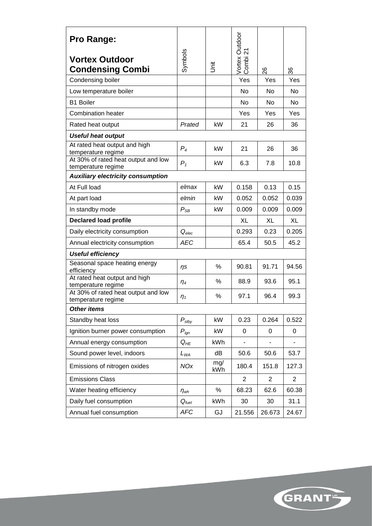| <b>Pro Range:</b>                                         |                     |            | Vortex Outdoor<br>Combi 21 |          |                |
|-----------------------------------------------------------|---------------------|------------|----------------------------|----------|----------------|
| <b>Vortex Outdoor</b><br><b>Condensing Combi</b>          | Symbols             | Š          |                            |          |                |
| Condensing boiler                                         |                     |            | Yes                        | 8<br>Yes | 96<br>Yes      |
| Low temperature boiler                                    |                     |            | No                         | No       | N <sub>o</sub> |
| <b>B1 Boiler</b>                                          |                     |            | No                         | No       | No             |
| <b>Combination heater</b>                                 |                     |            | Yes                        | Yes      | Yes            |
| Rated heat output                                         | Prated              | kW         | 21                         | 26       | 36             |
| <b>Useful heat output</b>                                 |                     |            |                            |          |                |
| At rated heat output and high<br>temperature regime       | $P_4$               | kW         | 21                         | 26       | 36             |
| At 30% of rated heat output and low<br>temperature regime | $P_1$               | kW         | 6.3                        | 7.8      | 10.8           |
| <b>Auxiliary electricity consumption</b>                  |                     |            |                            |          |                |
| At Full load                                              | elmax               | kW         | 0.158                      | 0.13     | 0.15           |
| At part load                                              | elmin               | kW         | 0.052                      | 0.052    | 0.039          |
| In standby mode                                           | $P_{SB}$            | kW         | 0.009                      | 0.009    | 0.009          |
| <b>Declared load profile</b>                              |                     |            | <b>XL</b>                  | XL       | XL             |
| Daily electricity consumption                             | $Q_{elec}$          |            | 0.293                      | 0.23     | 0.205          |
| Annual electricity consumption                            | <b>AEC</b>          |            | 65.4                       | 50.5     | 45.2           |
| <b>Useful efficiency</b>                                  |                     |            |                            |          |                |
| Seasonal space heating energy<br>efficiency               | ηs                  | %          | 90.81                      | 91.71    | 94.56          |
| At rated heat output and high<br>temperature regime       | $\eta_4$            | %          | 88.9                       | 93.6     | 95.1           |
| At 30% of rated heat output and low<br>temperature regime | n <sub>1</sub>      | %          | 97.1                       | 96.4     | 99.3           |
| Other items                                               |                     |            |                            |          |                |
| Standby heat loss                                         | $P_{\textit{stby}}$ | kW         | 0.23                       | 0.264    | 0.522          |
| Ignition burner power consumption                         | $P_{ign}$           | kW         | 0                          | 0        | 0              |
| Annual energy consumption                                 | $Q_{HE}$            | kWh        |                            |          |                |
| Sound power level, indoors                                | $L_{WA}$            | dB         | 50.6                       | 50.6     | 53.7           |
| Emissions of nitrogen oxides                              | <b>NOx</b>          | mg/<br>kWh | 180.4                      | 151.8    | 127.3          |
| <b>Emissions Class</b>                                    |                     |            | 2                          | 2        | 2              |
| Water heating efficiency                                  | $\eta_{wh}$         | $\%$       | 68.23                      | 62.6     | 60.38          |
| Daily fuel consumption                                    | $Q_{fuel}$          | kWh        | 30                         | 30       | 31.1           |
| Annual fuel consumption                                   | <b>AFC</b>          | GJ         | 21.556                     | 26.673   | 24.67          |

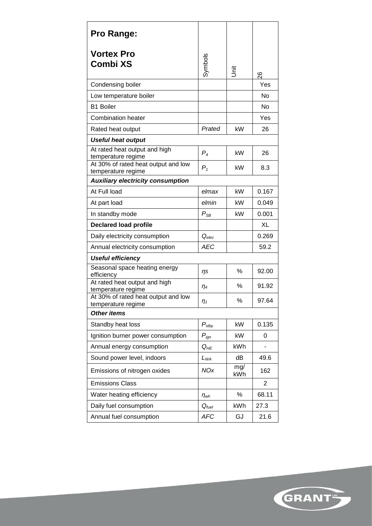| <b>Pro Range:</b>                                         |                   |            |                |
|-----------------------------------------------------------|-------------------|------------|----------------|
| <b>Vortex Pro</b><br>Combi XS                             | Symbols           | 言          | 88             |
| Condensing boiler                                         |                   |            | Yes            |
| Low temperature boiler                                    |                   |            | No             |
| <b>B1 Boiler</b>                                          |                   |            | No             |
| <b>Combination heater</b>                                 |                   |            | Yes            |
| Rated heat output                                         | Prated            | kW         | 26             |
| <b>Useful heat output</b>                                 |                   |            |                |
| At rated heat output and high<br>temperature regime       | $P_4$             | kW         | 26             |
| At 30% of rated heat output and low<br>temperature regime | $P_1$             | kW         | 8.3            |
| <b>Auxiliary electricity consumption</b>                  |                   |            |                |
| At Full load                                              | elmax             | kW         | 0.167          |
| At part load                                              | elmin             | kW         | 0.049          |
| In standby mode                                           | $P_{SB}$          | kW         | 0.001          |
| <b>Declared load profile</b>                              |                   |            | XL             |
| Daily electricity consumption                             | $Q_{elec}$        |            | 0.269          |
| Annual electricity consumption                            | <b>AEC</b>        |            | 59.2           |
| <b>Useful efficiency</b>                                  |                   |            |                |
| Seasonal space heating energy<br>efficiency               | ηs                | %          | 92.00          |
| At rated heat output and high<br>temperature regime       | $\eta_4$          | %          | 91.92          |
| At 30% of rated heat output and low<br>temperature regime | $\eta_{1}$        | $\%$       | 97.64          |
| <b>Other items</b>                                        |                   |            |                |
| Standby heat loss                                         | $P_{\text{stby}}$ | kW         | 0.135          |
| Ignition burner power consumption                         | $P_{ign}$         | kW         | 0              |
| Annual energy consumption                                 | $Q_{HE}$          | kWh        |                |
| Sound power level, indoors                                | $L_{WA}$          | dB         | 49.6           |
| Emissions of nitrogen oxides                              | <b>NOx</b>        | mg/<br>kWh | 162            |
| <b>Emissions Class</b>                                    |                   |            | $\overline{2}$ |
| Water heating efficiency                                  | $\eta_{wh}$       | $\%$       | 68.11          |
| Daily fuel consumption                                    | $Q_{fuel}$        | kWh        | 27.3           |
| Annual fuel consumption                                   | <b>AFC</b>        | GJ         | 21.6           |

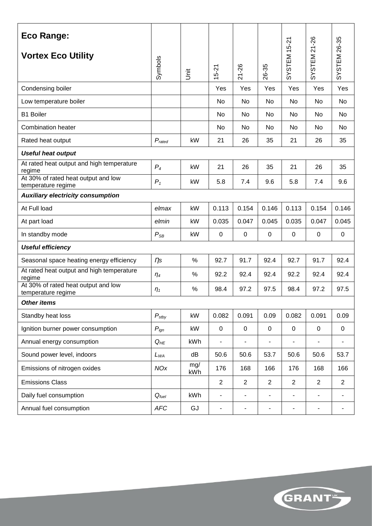| Eco Range:                                                |                    |            |                              |                                   |                          |                              |                          |                |  |
|-----------------------------------------------------------|--------------------|------------|------------------------------|-----------------------------------|--------------------------|------------------------------|--------------------------|----------------|--|
| <b>Vortex Eco Utility</b>                                 | Symbols            | jrit       | $5 - 21$                     | $-26$<br>$\overline{\mathcal{N}}$ | 26-35                    | SYSTEM <sub>15-21</sub>      | SYSTEM 21-26             | SYSTEM 26-35   |  |
| Condensing boiler                                         |                    |            | Yes                          | Yes                               | Yes                      | Yes                          | Yes                      | Yes            |  |
| Low temperature boiler                                    |                    |            | No                           | No                                | No                       | <b>No</b>                    | No                       | No             |  |
| <b>B1 Boiler</b>                                          |                    |            | No                           | No                                | No                       | No                           | No                       | No             |  |
| <b>Combination heater</b>                                 |                    |            | No.                          | No                                | No                       | No                           | No                       | <b>No</b>      |  |
| Rated heat output                                         | $P_{\text{rated}}$ | kW         | 21                           | 26                                | 35                       | 21                           | 26                       | 35             |  |
| <b>Useful heat output</b>                                 |                    |            |                              |                                   |                          |                              |                          |                |  |
| At rated heat output and high temperature<br>regime       | $P_4$              | kW         | 21                           | 26                                | 35                       | 21                           | 26                       | 35             |  |
| At 30% of rated heat output and low<br>temperature regime | $P_1$              | kW         | 5.8                          | 7.4                               | 9.6                      | 5.8                          | 7.4                      | 9.6            |  |
| <b>Auxiliary electricity consumption</b>                  |                    |            |                              |                                   |                          |                              |                          |                |  |
| At Full load                                              | elmax              | kW         | 0.113                        | 0.154                             | 0.146                    | 0.113                        | 0.154                    | 0.146          |  |
| At part load                                              | elmin              | kW         | 0.035                        | 0.047                             | 0.045                    | 0.035                        | 0.047                    | 0.045          |  |
| In standby mode                                           | $P_{SB}$           | kW         | $\boldsymbol{0}$             | 0                                 | 0                        | 0                            | 0                        | 0              |  |
| <b>Useful efficiency</b>                                  |                    |            |                              |                                   |                          |                              |                          |                |  |
| Seasonal space heating energy efficiency                  | $\eta$ s           | $\%$       | 92.7                         | 91.7                              | 92.4                     | 92.7                         | 91.7                     | 92.4           |  |
| At rated heat output and high temperature<br>regime       | $\eta_4$           | $\%$       | 92.2                         | 92.4                              | 92.4                     | 92.2                         | 92.4                     | 92.4           |  |
| At 30% of rated heat output and low<br>temperature regime | $\eta_1$           | $\%$       | 98.4                         | 97.2                              | 97.5                     | 98.4                         | 97.2                     | 97.5           |  |
| <b>Other items</b>                                        |                    |            |                              |                                   |                          |                              |                          |                |  |
| Standby heat loss                                         | $P_{\text{stby}}$  | kW         | 0.082                        | 0.091                             | 0.09                     | 0.082                        | 0.091                    | 0.09           |  |
| Ignition burner power consumption                         | $P_{ign}$          | kW         | $\mathbf 0$                  | $\mathbf 0$                       | $\mathbf 0$              | $\pmb{0}$                    | $\mathbf 0$              | 0              |  |
| Annual energy consumption                                 | $Q_{HE}$           | kWh        | $\qquad \qquad \blacksquare$ |                                   |                          | $\overline{a}$               |                          | ÷              |  |
| Sound power level, indoors                                | $L_{WA}$           | dB         | 50.6                         | 50.6                              | 53.7                     | 50.6                         | 50.6                     | 53.7           |  |
| Emissions of nitrogen oxides                              | <b>NOx</b>         | mg/<br>kWh | 176                          | 168                               | 166                      | 176                          | 168                      | 166            |  |
| <b>Emissions Class</b>                                    |                    |            | $\overline{2}$               | 2                                 | $\overline{2}$           | $\overline{2}$               | $\overline{2}$           | $\overline{2}$ |  |
| Daily fuel consumption                                    | $Q_{fuel}$         | kWh        | $\blacksquare$               | $\blacksquare$                    |                          | L,                           | $\blacksquare$           | L,             |  |
| Annual fuel consumption                                   | <b>AFC</b>         | GJ         | $\qquad \qquad \blacksquare$ | $\qquad \qquad \blacksquare$      | $\overline{\phantom{0}}$ | $\qquad \qquad \blacksquare$ | $\overline{\phantom{a}}$ | ۰              |  |

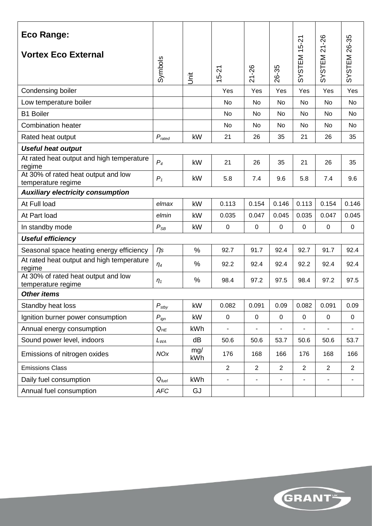| <b>Eco Range:</b>                                         |                    |            |                |                |                          |                          | 21-26                    |                |
|-----------------------------------------------------------|--------------------|------------|----------------|----------------|--------------------------|--------------------------|--------------------------|----------------|
| <b>Vortex Eco External</b>                                | Symbols            | jst        | $5 - 21$       | 21-26          | 26-35                    | SYSTEM 15-21             | SYSTEM                   | SYSTEM 26-35   |
| Condensing boiler                                         |                    |            | Yes            | Yes            | Yes                      | Yes                      | Yes                      | Yes            |
| Low temperature boiler                                    |                    |            | No             | No             | No                       | No                       | No                       | No             |
| <b>B1 Boiler</b>                                          |                    |            | No             | No             | No                       | <b>No</b>                | <b>No</b>                | <b>No</b>      |
| <b>Combination heater</b>                                 |                    |            | No             | <b>No</b>      | No                       | <b>No</b>                | <b>No</b>                | No             |
| Rated heat output                                         | $P_{\text{rated}}$ | kW         | 21             | 26             | 35                       | 21                       | 26                       | 35             |
| <b>Useful heat output</b>                                 |                    |            |                |                |                          |                          |                          |                |
| At rated heat output and high temperature<br>regime       | $P_4$              | kW         | 21             | 26             | 35                       | 21                       | 26                       | 35             |
| At 30% of rated heat output and low<br>temperature regime | $P_1$              | kW         | 5.8            | 7.4            | 9.6                      | 5.8                      | 7.4                      | 9.6            |
| <b>Auxiliary electricity consumption</b>                  |                    |            |                |                |                          |                          |                          |                |
| At Full load                                              | elmax              | kW         | 0.113          | 0.154          | 0.146                    | 0.113                    | 0.154                    | 0.146          |
| At Part load                                              | elmin              | kW         | 0.035          | 0.047          | 0.045                    | 0.035                    | 0.047                    | 0.045          |
| In standby mode                                           | $P_{SB}$           | kW         | $\pmb{0}$      | $\mathbf 0$    | $\mathbf 0$              | $\mathbf 0$              | $\pmb{0}$                | $\mathbf 0$    |
| <b>Useful efficiency</b>                                  |                    |            |                |                |                          |                          |                          |                |
| Seasonal space heating energy efficiency                  | $\eta$ s           | %          | 92.7           | 91.7           | 92.4                     | 92.7                     | 91.7                     | 92.4           |
| At rated heat output and high temperature<br>regime       | $\eta_4$           | %          | 92.2           | 92.4           | 92.4                     | 92.2                     | 92.4                     | 92.4           |
| At 30% of rated heat output and low<br>temperature regime | $\eta_1$           | %          | 98.4           | 97.2           | 97.5                     | 98.4                     | 97.2                     | 97.5           |
| <b>Other items</b>                                        |                    |            |                |                |                          |                          |                          |                |
| Standby heat loss                                         | $P_{\text{stby}}$  | kW         | 0.082          | 0.091          | 0.09                     | 0.082                    | 0.091                    | 0.09           |
| Ignition burner power consumption                         | $P_{ign}$          | kW         | $\pmb{0}$      | $\mathbf 0$    | $\mathbf 0$              | $\mathbf 0$              | $\mathbf 0$              | $\mathbf 0$    |
| Annual energy consumption                                 | $Q_{HE}$           | kWh        |                |                |                          |                          | ÷,                       |                |
| Sound power level, indoors                                | $L_{WA}$           | dB         | 50.6           | 50.6           | 53.7                     | 50.6                     | 50.6                     | 53.7           |
| Emissions of nitrogen oxides                              | <b>NOx</b>         | mg/<br>kWh | 176            | 168            | 166                      | 176                      | 168                      | 166            |
| <b>Emissions Class</b>                                    |                    |            | $\overline{2}$ | $\overline{2}$ | 2                        | $\overline{2}$           | $\overline{2}$           | $\overline{2}$ |
| Daily fuel consumption                                    | $Q_{fuel}$         | kWh        | $\blacksquare$ | $\blacksquare$ | $\overline{\phantom{a}}$ | $\overline{\phantom{a}}$ | $\overline{\phantom{a}}$ | $\blacksquare$ |
| Annual fuel consumption                                   | ${\mathit AFC}$    | GJ         |                |                |                          |                          |                          |                |

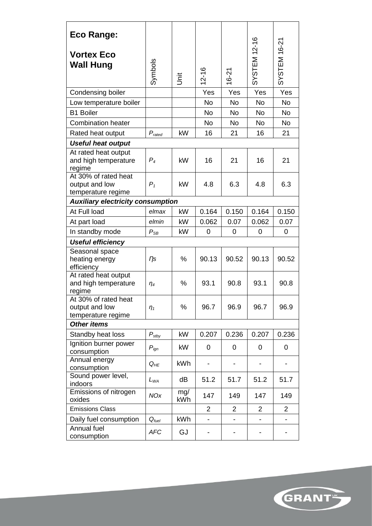| <b>Eco Range:</b>                                            |                    |            |                |                |              |                |  |  |  |
|--------------------------------------------------------------|--------------------|------------|----------------|----------------|--------------|----------------|--|--|--|
| <b>Vortex Eco</b><br><b>Wall Hung</b>                        | Symbols            | İ          | $ 2 - 16$      | $16 - 21$      | SYSTEM 12-16 | SYSTEM 16-21   |  |  |  |
| Condensing boiler                                            |                    |            | Yes            | Yes            | Yes          | Yes            |  |  |  |
| Low temperature boiler                                       |                    |            | <b>No</b>      | <b>No</b>      | No           | <b>No</b>      |  |  |  |
| <b>B1 Boiler</b>                                             |                    |            | <b>No</b>      | <b>No</b>      | <b>No</b>    | <b>No</b>      |  |  |  |
| <b>Combination heater</b>                                    |                    |            | <b>No</b>      | <b>No</b>      | <b>No</b>    | <b>No</b>      |  |  |  |
| Rated heat output                                            | $P_{\text{rated}}$ | kW         | 16             | 21             | 16           | 21             |  |  |  |
| <b>Useful heat output</b>                                    |                    |            |                |                |              |                |  |  |  |
| At rated heat output<br>and high temperature<br>regime       | $P_4$              | kW         | 16             | 21             | 16           | 21             |  |  |  |
| At 30% of rated heat<br>output and low<br>temperature regime | $P_1$              | kW         | 4.8            | 6.3            | 4.8          | 6.3            |  |  |  |
| <b>Auxiliary electricity consumption</b>                     |                    |            |                |                |              |                |  |  |  |
| At Full load                                                 | elmax              | kW         | 0.164          | 0.150          | 0.164        | 0.150          |  |  |  |
| At part load                                                 | elmin              | kW         | 0.062          | 0.07           | 0.062        | 0.07           |  |  |  |
| In standby mode                                              | $P_{SB}$           | kW         | 0              | 0              | 0            | 0              |  |  |  |
| <b>Useful efficiency</b>                                     |                    |            |                |                |              |                |  |  |  |
| Seasonal space<br>heating energy<br>efficiency               | $\eta$ s           | %          | 90.13          | 90.52          | 90.13        | 90.52          |  |  |  |
| At rated heat output<br>and high temperature<br>regime       | $\eta_4$           | %          | 93.1           | 90.8           | 93.1         | 90.8           |  |  |  |
| At 30% of rated heat<br>output and low<br>temperature regime | $\eta_1$           | %          | 96.7           | 96.9           | 96.7         | 96.9           |  |  |  |
| <b>Other items</b>                                           |                    |            |                |                |              |                |  |  |  |
| Standby heat loss                                            | $P_{\text{stby}}$  | kW         | 0.207          | 0.236          | 0.207        | 0.236          |  |  |  |
| Ignition burner power<br>consumption                         | $P_{ign}$          | kW         | 0              | 0              | 0            | 0              |  |  |  |
| Annual energy<br>consumption                                 | $Q_{HE}$           | <b>kWh</b> |                |                |              |                |  |  |  |
| Sound power level,<br>indoors                                | $L_{WA}$           | dB         | 51.2           | 51.7           | 51.2         | 51.7           |  |  |  |
| Emissions of nitrogen<br>oxides                              | <b>NOx</b>         | mg/<br>kWh | 147            | 149            | 147          | 149            |  |  |  |
| <b>Emissions Class</b>                                       |                    |            | $\overline{2}$ | $\overline{2}$ | 2            | $\overline{2}$ |  |  |  |
| Daily fuel consumption                                       | $Q_{fuel}$         | kWh        |                |                |              |                |  |  |  |
| Annual fuel<br>consumption                                   | <b>AFC</b>         | GJ         |                |                |              |                |  |  |  |

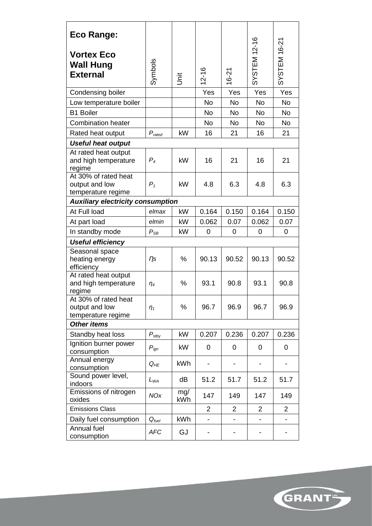| <b>Eco Range:</b>                                            |                    |            |                |                |              |                |  |  |  |
|--------------------------------------------------------------|--------------------|------------|----------------|----------------|--------------|----------------|--|--|--|
| <b>Vortex Eco</b><br><b>Wall Hung</b><br><b>External</b>     | Symbols            | İ          | $ 2 - 16$      | $16 - 21$      | SYSTEM 12-16 | SYSTEM 16-21   |  |  |  |
| Condensing boiler                                            |                    |            | Yes            | Yes            | Yes          | Yes            |  |  |  |
| Low temperature boiler                                       |                    |            | <b>No</b>      | <b>No</b>      | No           | <b>No</b>      |  |  |  |
| <b>B1 Boiler</b>                                             |                    |            | <b>No</b>      | <b>No</b>      | <b>No</b>    | <b>No</b>      |  |  |  |
| <b>Combination heater</b>                                    |                    |            | <b>No</b>      | <b>No</b>      | <b>No</b>    | <b>No</b>      |  |  |  |
| Rated heat output                                            | $P_{\text{rated}}$ | kW         | 16             | 21             | 16           | 21             |  |  |  |
| <b>Useful heat output</b>                                    |                    |            |                |                |              |                |  |  |  |
| At rated heat output<br>and high temperature<br>regime       | $P_4$              | kW         | 16             | 21             | 16           | 21             |  |  |  |
| At 30% of rated heat<br>output and low<br>temperature regime | $P_1$              | kW         | 4.8            | 6.3            | 4.8          | 6.3            |  |  |  |
| <b>Auxiliary electricity consumption</b>                     |                    |            |                |                |              |                |  |  |  |
| At Full load                                                 | elmax              | kW         | 0.164          | 0.150          | 0.164        | 0.150          |  |  |  |
| At part load                                                 | elmin              | kW         | 0.062          | 0.07           | 0.062        | 0.07           |  |  |  |
| In standby mode                                              | $P_{SB}$           | kW         | 0              | 0              | 0            | 0              |  |  |  |
| <b>Useful efficiency</b>                                     |                    |            |                |                |              |                |  |  |  |
| Seasonal space<br>heating energy<br>efficiency               | $\eta$ s           | %          | 90.13          | 90.52          | 90.13        | 90.52          |  |  |  |
| At rated heat output<br>and high temperature<br>regime       | $\eta_4$           | %          | 93.1           | 90.8           | 93.1         | 90.8           |  |  |  |
| At 30% of rated heat<br>output and low<br>temperature regime | $\eta_1$           | %          | 96.7           | 96.9           | 96.7         | 96.9           |  |  |  |
| <b>Other items</b>                                           |                    |            |                |                |              |                |  |  |  |
| Standby heat loss                                            | $P_{\text{stby}}$  | kW         | 0.207          | 0.236          | 0.207        | 0.236          |  |  |  |
| Ignition burner power<br>consumption                         | $P_{ign}$          | kW         | 0              | 0              | 0            | 0              |  |  |  |
| Annual energy<br>consumption                                 | $Q_{HE}$           | <b>kWh</b> |                |                |              |                |  |  |  |
| Sound power level,<br>indoors                                | $L_{WA}$           | dB         | 51.2           | 51.7           | 51.2         | 51.7           |  |  |  |
| Emissions of nitrogen<br>oxides                              | <b>NOx</b>         | mg/<br>kWh | 147            | 149            | 147          | 149            |  |  |  |
| <b>Emissions Class</b>                                       |                    |            | $\overline{2}$ | $\overline{2}$ | 2            | $\overline{2}$ |  |  |  |
| Daily fuel consumption                                       | $Q_{fuel}$         | kWh        |                |                |              |                |  |  |  |
| Annual fuel<br>consumption                                   | <b>AFC</b>         | GJ         |                |                |              |                |  |  |  |